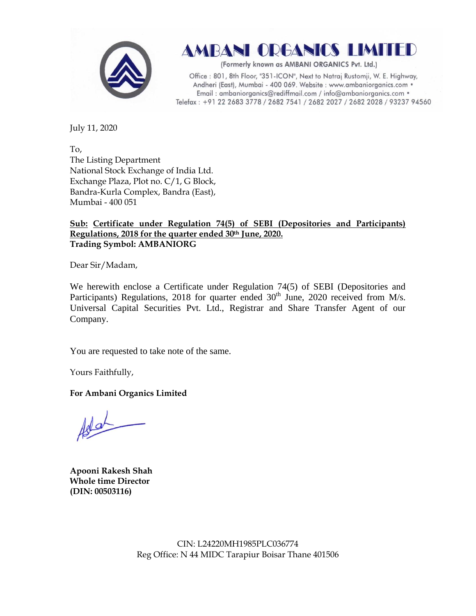

AMBANI ORGANICS LIMITED

(Formerly known as AMBANI ORGANICS Pvt. Ltd.)

Office: 801, 8th Floor, "351-ICON", Next to Natraj Rustomji, W. E. Highway, Andheri (East), Mumbai - 400 069. Website : www.ambaniorganics.com • Email: ambaniorganics@rediffmail.com / info@ambaniorganics.com . Telefax: +91 22 2683 3778 / 2682 7541 / 2682 2027 / 2682 2028 / 93237 94560

July 11, 2020

To, The Listing Department National Stock Exchange of India Ltd. Exchange Plaza, Plot no. C/1, G Block, Bandra-Kurla Complex, Bandra (East), Mumbai - 400 051

## **Sub: Certificate under Regulation 74(5) of SEBI (Depositories and Participants) Regulations, 2018 for the quarter ended 30th June, 2020. Trading Symbol: AMBANIORG**

Dear Sir/Madam,

We herewith enclose a Certificate under Regulation 74(5) of SEBI (Depositories and Participants) Regulations, 2018 for quarter ended  $30<sup>th</sup>$  June, 2020 received from M/s. Universal Capital Securities Pvt. Ltd., Registrar and Share Transfer Agent of our Company.

You are requested to take note of the same.

Yours Faithfully,

**For Ambani Organics Limited**

 $100 -$ 

**Apooni Rakesh Shah Whole time Director (DIN: [00503116\)](http://www.mca.gov.in/mcafoportal/companyLLPMasterData.do)**

CIN: L24220MH1985PLC036774 Reg Office: N 44 MIDC Tarapiur Boisar Thane 401506